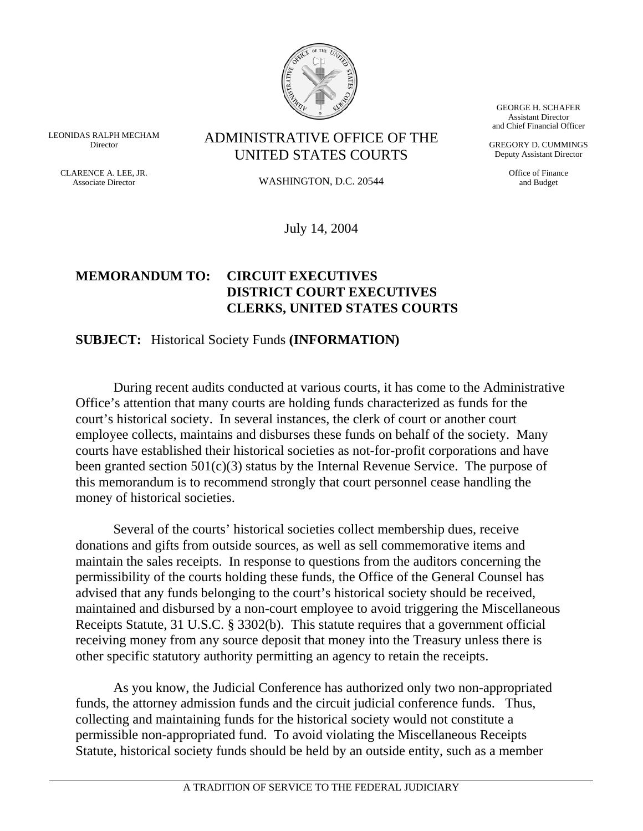

LEONIDAS RALPH MECHAM Director

> CLARENCE A. LEE, JR. Associate Director

ADMINISTRATIVE OFFICE OF THE UNITED STATES COURTS

WASHINGTON, D.C. 20544

July 14, 2004

## **MEMORANDUM TO: CIRCUIT EXECUTIVES DISTRICT COURT EXECUTIVES CLERKS, UNITED STATES COURTS**

## **SUBJECT:** Historical Society Funds **(INFORMATION)**

During recent audits conducted at various courts, it has come to the Administrative Office's attention that many courts are holding funds characterized as funds for the court's historical society. In several instances, the clerk of court or another court employee collects, maintains and disburses these funds on behalf of the society. Many courts have established their historical societies as not-for-profit corporations and have been granted section  $501(c)(3)$  status by the Internal Revenue Service. The purpose of this memorandum is to recommend strongly that court personnel cease handling the money of historical societies.

Several of the courts' historical societies collect membership dues, receive donations and gifts from outside sources, as well as sell commemorative items and maintain the sales receipts. In response to questions from the auditors concerning the permissibility of the courts holding these funds, the Office of the General Counsel has advised that any funds belonging to the court's historical society should be received, maintained and disbursed by a non-court employee to avoid triggering the Miscellaneous Receipts Statute, 31 U.S.C. § 3302(b). This statute requires that a government official receiving money from any source deposit that money into the Treasury unless there is other specific statutory authority permitting an agency to retain the receipts.

As you know, the Judicial Conference has authorized only two non-appropriated funds, the attorney admission funds and the circuit judicial conference funds. Thus, collecting and maintaining funds for the historical society would not constitute a permissible non-appropriated fund. To avoid violating the Miscellaneous Receipts Statute, historical society funds should be held by an outside entity, such as a member

GEORGE H. SCHAFER Assistant Director and Chief Financial Officer

GREGORY D. CUMMINGS Deputy Assistant Director

> Office of Finance and Budget